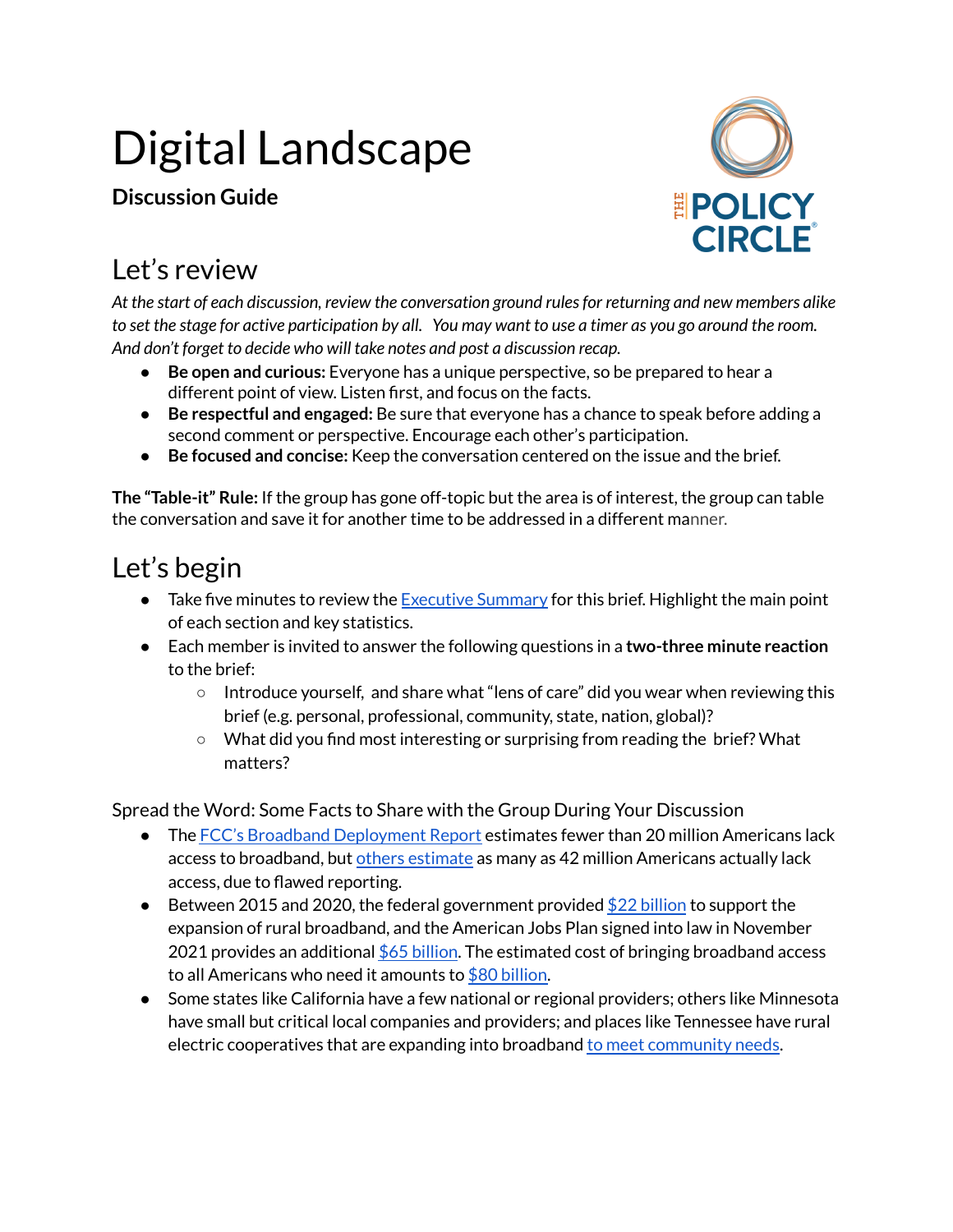# Digital Landscape

**Discussion Guide**



#### Let's review

*At the start of each discussion, review the conversation ground rulesfor returning and new members alike* to set the stage for active participation by all. You may want to use a timer as you go around the room. *And don't forget to decide who will take notes and post a discussion recap.*

- **Be open and curious:** Everyone has a unique perspective, so be prepared to hear a different point of view. Listen first, and focus on the facts.
- **Be respectful and engaged:** Be sure that everyone has a chance to speak before adding a second comment or perspective. Encourage each other's participation.
- **Be focused and concise:** Keep the conversation centered on the issue and the brief.

**The "Table-it" Rule:** If the group has gone off-topic but the area is of interest, the group can table the conversation and save it for another time to be addressed in a different manner.

## Let's begin

- Take five minutes to review the [Executive](https://www.thepolicycircle.org/wp-content/uploads/2019/02/Digital-Landscape-Executive-Summary.pdf) Summary for this brief. Highlight the main point of each section and key statistics.
- Each member is invited to answer the following questions in a **two-three minute reaction** to the brief:
	- Introduce yourself, and share what "lens of care" did you wear when reviewing this brief (e.g. personal, professional, community, state, nation, global)?
	- What did you find most interesting or surprising from reading the brief? What matters?

Spread the Word: Some Facts to Share with the Group During Your Discussion

- The FCC's Broadband [Deployment](https://www.fcc.gov/reports-research/reports/broadband-progress-reports/fourteenth-broadband-deployment-report) Report estimates fewer than 20 million Americans lack access to broadband, but others [estimate](https://broadbandnow.com/research/fcc-broadband-overreporting-by-state) as many as 42 million Americans actually lack access, due to flawed reporting.
- **•** Between 2015 and 2020, the federal government provided  $$22$  [billion](https://www.brookings.edu/research/5-steps-to-get-the-internet-to-all-americans/) to support the expansion of rural broadband, and the American Jobs Plan signed into law in November 2021 provides an additional  $$65$  [billion](https://connectednation.org/current-broadband-funding/). The estimated cost of bringing broadband access to all Americans who need it amounts to  $$80$  [billion.](https://www.brookings.edu/blog/up-front/2021/08/18/the-benefits-and-costs-of-broadband-expansion/)
- Some states like California have a few national or regional providers; others like Minnesota have small but critical local companies and providers; and places like Tennessee have rural electric cooperatives that are expanding into broadband to meet [community](https://www.benton.org/sites/default/files/BroadbandAmericaNow_final.pdf) needs.